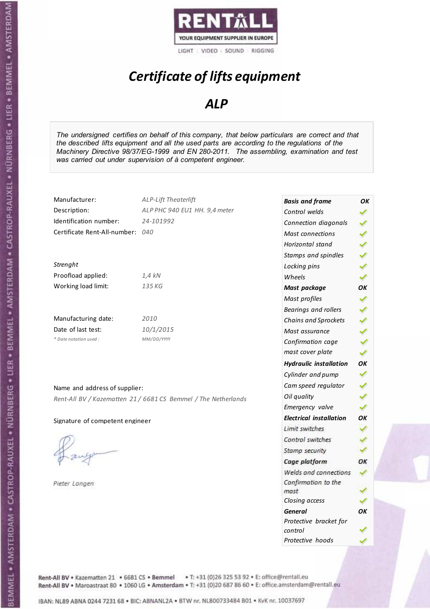

# *Certificate of lifts equipment*

### *ALP*

*The undersigned certifies on behalf of this company, that below particulars are correct and that the described lifts equipment and all the used parts are according to the regulations of the Machinery Directive 98/37/EG-1999 and EN 280-2011. The assembling, examination and test was carried out under supervision of à competent engineer.* 

| Manufacturer:                   | <b>ALP-Lift Theaterlift</b>                                    | <b>Basis and frame</b>         | OK |
|---------------------------------|----------------------------------------------------------------|--------------------------------|----|
| Description:                    | ALP PHC 940 EU1 HH. 9,4 meter                                  | Control welds                  |    |
| Identification number:          | 24-101992                                                      | Connection diagonals           |    |
| Certificate Rent-All-number:    | 040                                                            | <b>Mast connections</b>        |    |
|                                 |                                                                | Horizontal stand               |    |
|                                 |                                                                | Stamps and spindles            |    |
| Strenght                        |                                                                | Locking pins                   |    |
| Proofload applied:              | 1,4 kN                                                         | Wheels                         |    |
| Working load limit:             | 135 KG                                                         | Mast package                   | OK |
|                                 |                                                                | Mast profiles                  |    |
|                                 |                                                                | Bearings and rollers           |    |
| Manufacturing date:             | 2010                                                           | Chains and Sprockets           |    |
| Date of last test:              | 10/1/2015                                                      | Mast assurance                 |    |
| * Date notation used :          | MM/DD/YYYY                                                     | Confirmation cage              |    |
|                                 |                                                                | mast cover plate               |    |
|                                 |                                                                | <b>Hydraulic installation</b>  | OK |
|                                 |                                                                | Cylinder and pump              |    |
| Name and address of supplier:   |                                                                | Cam speed regulator            |    |
|                                 | Rent-All BV / Kazematten 21 / 6681 CS Bemmel / The Netherlands | Oil quality                    |    |
|                                 |                                                                | Emergency valve                |    |
| Signature of competent engineer |                                                                | <b>Electrical installation</b> | OK |
|                                 |                                                                | Limit switches                 |    |
|                                 |                                                                | Control switches               |    |
|                                 |                                                                | Stamp security                 |    |
|                                 |                                                                | Cage platform                  | OK |
|                                 |                                                                | Welds and connections          |    |
| Pieter Langen                   |                                                                | Confirmation to the<br>mast    |    |

*Closing access* 

*Protective hoods* 

*control* 

*General OK Protective bracket for* 

∢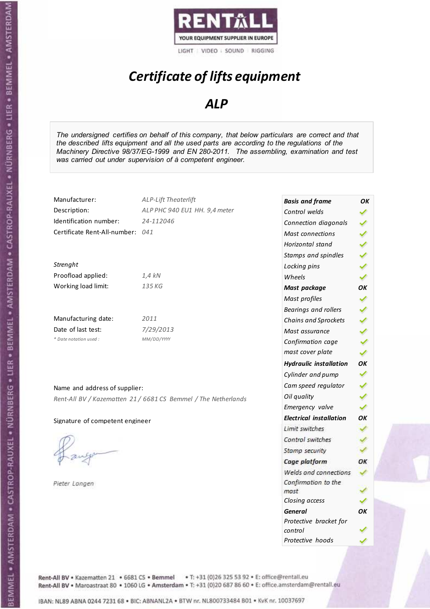

# *Certificate of lifts equipment*

### *ALP*

*The undersigned certifies on behalf of this company, that below particulars are correct and that the described lifts equipment and all the used parts are according to the regulations of the Machinery Directive 98/37/EG-1999 and EN 280-2011. The assembling, examination and test was carried out under supervision of à competent engineer.* 

| Manufacturer:                    | <b>ALP-Lift Theaterlift</b>                                    | <b>Basis and frame</b>         | ΟK |
|----------------------------------|----------------------------------------------------------------|--------------------------------|----|
| Description:                     | ALP PHC 940 EU1 HH. 9,4 meter                                  | Control welds                  |    |
| Identification number:           | 24-112046                                                      | Connection diagonals           | ✔  |
| Certificate Rent-All-number: 041 |                                                                | Mast connections               | ✔  |
|                                  |                                                                | Horizontal stand               | Â  |
|                                  |                                                                | Stamps and spindles            |    |
| Strenght                         |                                                                | Locking pins                   | メン |
| Proofload applied:               | $1,4$ kN                                                       | Wheels                         |    |
| Working load limit:              | 135 KG                                                         | Mast package                   | OK |
|                                  |                                                                | Mast profiles                  | ✔  |
|                                  |                                                                | Bearings and rollers           |    |
| Manufacturing date:              | 2011                                                           | Chains and Sprockets           |    |
| Date of last test:               | 7/29/2013                                                      | Mast assurance                 |    |
| * Date notation used :           | MM/DD/YYYY                                                     | Confirmation cage              |    |
|                                  |                                                                | mast cover plate               | ✔  |
|                                  |                                                                | <b>Hydraulic installation</b>  | OK |
|                                  |                                                                | Cylinder and pump              | ✓  |
| Name and address of supplier:    |                                                                | Cam speed regulator            |    |
|                                  | Rent-All BV / Kazematten 21 / 6681 CS Bemmel / The Netherlands | Oil quality                    | ✔  |
|                                  |                                                                | Emergency valve                |    |
| Signature of competent engineer  |                                                                | <b>Electrical installation</b> | OК |
|                                  |                                                                | Limit switches                 |    |
|                                  |                                                                | Control switches               |    |
|                                  |                                                                | Stamp security                 |    |
|                                  |                                                                | Cage platform                  | ОК |
|                                  |                                                                | Welds and connections          |    |
| Pieter Langen                    |                                                                | Confirmation to the            |    |
|                                  |                                                                | mast                           |    |
|                                  |                                                                | Closing access                 |    |
|                                  |                                                                | <b>General</b>                 | ОΚ |

*Protective bracket for* 

*Protective hoods* 

*control*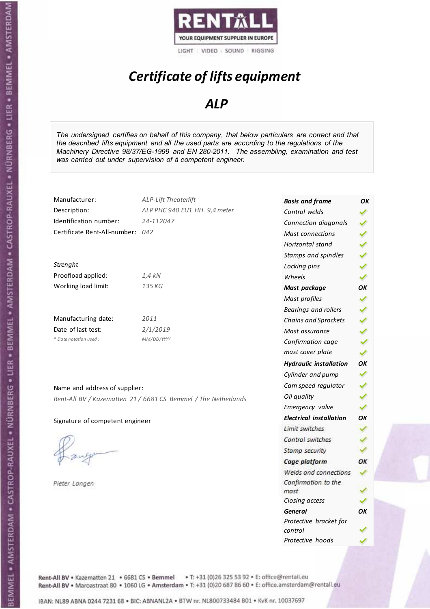

# *Certificate of lifts equipment*

### *ALP*

*The undersigned certifies on behalf of this company, that below particulars are correct and that the described lifts equipment and all the used parts are according to the regulations of the Machinery Directive 98/37/EG-1999 and EN 280-2011. The assembling, examination and test was carried out under supervision of à competent engineer.* 

| Manufacturer:                    | <b>ALP-Lift Theaterlift</b>                                    | <b>Basis and frame</b>         | OΚ |
|----------------------------------|----------------------------------------------------------------|--------------------------------|----|
| Description:                     | ALP PHC 940 EU1 HH. 9,4 meter                                  | Control welds                  |    |
| Identification number:           | 24-112047                                                      | Connection diagonals           |    |
| Certificate Rent-All-number: 042 |                                                                | <b>Mast connections</b>        |    |
|                                  |                                                                | Horizontal stand               |    |
|                                  |                                                                | Stamps and spindles            |    |
| Strenght                         |                                                                | Locking pins                   |    |
| Proofload applied:               | $1,4$ kN                                                       | Wheels                         | Â  |
| Working load limit:              | 135 KG                                                         | Mast package                   | OK |
|                                  |                                                                | Mast profiles                  | ✔  |
|                                  |                                                                | <b>Bearings and rollers</b>    |    |
| Manufacturing date:              | 2011                                                           | Chains and Sprockets           |    |
| Date of last test:               | 2/1/2019                                                       | Mast assurance                 |    |
| * Date notation used :           | MM/DD/YYYY                                                     | Confirmation cage              |    |
|                                  |                                                                | mast cover plate               | v  |
|                                  |                                                                | <b>Hydraulic installation</b>  | OK |
|                                  |                                                                | Cylinder and pump              | ✓  |
| Name and address of supplier:    |                                                                | Cam speed regulator            |    |
|                                  | Rent-All BV / Kazematten 21 / 6681 CS Bemmel / The Netherlands | Oil quality                    |    |
|                                  |                                                                | Emergency valve                |    |
| Signature of competent engineer  |                                                                | <b>Electrical installation</b> | OK |
|                                  |                                                                | Limit switches                 |    |
|                                  |                                                                | Control switches               |    |
|                                  |                                                                | Stamp security                 |    |
|                                  |                                                                | Cage platform                  | OK |
|                                  |                                                                | Welds and connections          |    |
| Pieter Langen                    |                                                                | Confirmation to the            |    |
|                                  |                                                                | mast                           |    |
|                                  |                                                                | Closing access                 |    |

*General OK Protective bracket for* 

*control* 

*Protective hoods*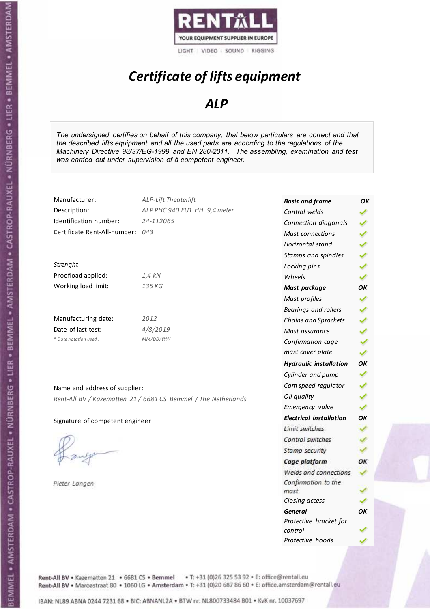

# *Certificate of lifts equipment*

### *ALP*

*The undersigned certifies on behalf of this company, that below particulars are correct and that the described lifts equipment and all the used parts are according to the regulations of the Machinery Directive 98/37/EG-1999 and EN 280-2011. The assembling, examination and test was carried out under supervision of à competent engineer.* 

| Manufacturer:                    | ALP-Lift Theaterlift                                           | <b>Basis and frame</b>         | ОΚ |
|----------------------------------|----------------------------------------------------------------|--------------------------------|----|
| Description:                     | ALP PHC 940 EU1 HH. 9,4 meter                                  | Control welds                  |    |
| Identification number:           | 24-112065                                                      | Connection diagonals           | ✔  |
| Certificate Rent-All-number: 043 |                                                                | Mast connections               |    |
|                                  |                                                                | Horizontal stand               |    |
|                                  |                                                                | Stamps and spindles            | シン |
| Strenght                         |                                                                | Locking pins                   |    |
| Proofload applied:               | $1,4$ kN                                                       | Wheels                         |    |
| Working load limit:              | 135 KG                                                         | Mast package                   | OK |
|                                  |                                                                | Mast profiles                  | ✔  |
|                                  |                                                                | Bearings and rollers           |    |
| Manufacturing date:              | 2012                                                           | Chains and Sprockets           |    |
| Date of last test:               | 4/8/2019                                                       | Mast assurance                 |    |
| * Date notation used :           | MM/DD/YYYY                                                     | Confirmation cage              |    |
|                                  |                                                                | mast cover plate               | ✔  |
|                                  |                                                                | <b>Hydraulic installation</b>  | OK |
|                                  |                                                                | Cylinder and pump              | ✓  |
| Name and address of supplier:    |                                                                | Cam speed regulator            |    |
|                                  | Rent-All BV / Kazematten 21 / 6681 CS Bemmel / The Netherlands | Oil quality                    |    |
|                                  |                                                                | Emergency valve                |    |
| Signature of competent engineer  |                                                                | <b>Electrical installation</b> | OK |
|                                  |                                                                | Limit switches                 |    |
|                                  |                                                                | Control switches               |    |
|                                  |                                                                | Stamp security                 |    |
|                                  |                                                                | Cage platform                  | OK |
|                                  |                                                                | Welds and connections          |    |
| Pieter Langen                    |                                                                | Confirmation to the            |    |
|                                  |                                                                | mast                           |    |
|                                  |                                                                | Closing access                 |    |
|                                  |                                                                | <b>General</b>                 | OΚ |

*Protective bracket for* 

*Protective hoods* 

*control*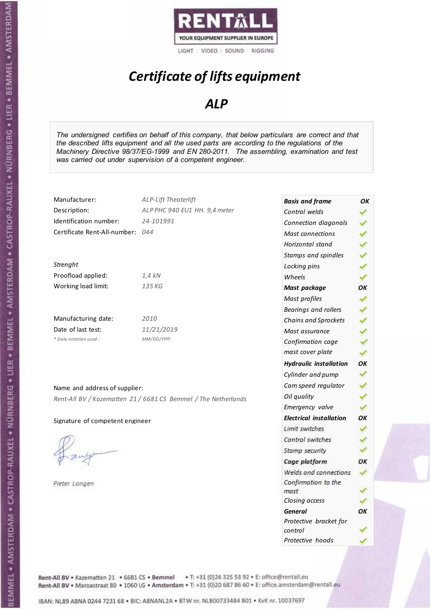

# *Certificate of lifts equipment*

### *ALP*

*The undersigned certifies on behalf of this company, that below particulars are correct and that the described lifts equipment and all the used parts are according to the regulations of the Machinery Directive 98/37/EG-1999 and EN 280-2011. The assembling, examination and test was carried out under supervision of à competent engineer.* 

| Manufacturer:                    | <b>ALP-Lift Theaterlift</b>                                    | <b>Basis and frame</b>         | OK |
|----------------------------------|----------------------------------------------------------------|--------------------------------|----|
| Description:                     | ALP PHC 940 EU1 HH. 9,4 meter                                  | Control welds                  |    |
| Identification number:           | 24-101991                                                      | Connection diagonals           |    |
| Certificate Rent-All-number: 044 |                                                                | <b>Mast connections</b>        |    |
|                                  |                                                                | Horizontal stand               |    |
|                                  |                                                                | Stamps and spindles            |    |
| Strenght                         |                                                                | Locking pins                   |    |
| Proofload applied:               | $1,4$ kN                                                       | Wheels                         |    |
| Working load limit:              | 135 KG                                                         | Mast package                   | OK |
|                                  |                                                                | Mast profiles                  |    |
|                                  |                                                                | <b>Bearings and rollers</b>    |    |
| Manufacturing date:              | 2010                                                           | Chains and Sprockets           |    |
| Date of last test:               | 11/21/2019                                                     | Mast assurance                 |    |
| * Date notation used:            | MM/DD/YYYY                                                     | Confirmation cage              |    |
|                                  |                                                                | mast cover plate               |    |
|                                  |                                                                | <b>Hydraulic installation</b>  | OK |
|                                  |                                                                | Cylinder and pump              |    |
| Name and address of supplier:    |                                                                | Cam speed regulator            |    |
|                                  | Rent-All BV / Kazematten 21 / 6681 CS Bemmel / The Netherlands | Oil quality                    |    |
|                                  |                                                                | Emergency valve                |    |
| Signature of competent engineer  |                                                                | <b>Electrical installation</b> | OK |
|                                  |                                                                | Limit switches                 |    |
|                                  |                                                                | Control switches               |    |
|                                  |                                                                | Stamp security                 |    |
|                                  |                                                                | Cage platform                  | OK |
|                                  |                                                                | Welds and connections          |    |
| Pieter Langen                    |                                                                | Confirmation to the<br>mast    |    |

*Closing access* 

*Protective hoods* 

*control* 

*General OK Protective bracket for* 

✓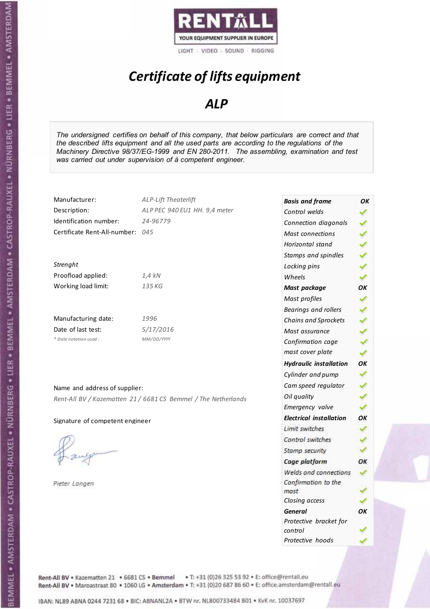

# *Certificate of lifts equipment*

### *ALP*

*The undersigned certifies on behalf of this company, that below particulars are correct and that the described lifts equipment and all the used parts are according to the regulations of the Machinery Directive 98/37/EG-1999 and EN 280-2011. The assembling, examination and test was carried out under supervision of à competent engineer.* 

| Manufacturer:                    | ALP-Lift Theaterlift                                           | <b>Basis and frame</b>         | OK |
|----------------------------------|----------------------------------------------------------------|--------------------------------|----|
| Description:                     | ALP PEC 940 EU1 HH. 9,4 meter                                  | Control welds                  |    |
| Identification number:           | 24-96779                                                       | Connection diagonals           | ✔  |
| Certificate Rent-All-number: 045 |                                                                | Mast connections               | ✔  |
|                                  |                                                                | Horizontal stand               |    |
|                                  |                                                                | Stamps and spindles            |    |
| Strenght                         |                                                                | Locking pins                   | ¥  |
| Proofload applied:               | 1,4 kN                                                         | Wheels                         | ✔  |
| Working load limit:              | 135 KG                                                         | Mast package                   | OK |
|                                  |                                                                | Mast profiles                  | ✔  |
|                                  |                                                                | Bearings and rollers           |    |
| Manufacturing date:              | 1996                                                           | Chains and Sprockets           |    |
| Date of last test:               | 5/17/2016                                                      | Mast assurance                 |    |
| * Date notation used :           | MM/DD/YYYY                                                     | Confirmation cage              |    |
|                                  |                                                                | mast cover plate               | ✔  |
|                                  |                                                                | <b>Hydraulic installation</b>  | OK |
|                                  |                                                                | Cylinder and pump              | ✓  |
| Name and address of supplier:    |                                                                | Cam speed regulator            | ✔  |
|                                  | Rent-All BV / Kazematten 21 / 6681 CS Bemmel / The Netherlands | Oil quality                    |    |
|                                  |                                                                | Emergency valve                | ✓  |
| Signature of competent engineer  |                                                                | <b>Electrical installation</b> | OK |
|                                  |                                                                | Limit switches                 | ✓  |
|                                  |                                                                | Control switches               |    |
|                                  |                                                                | Stamp security                 |    |
|                                  |                                                                | Cage platform                  | ОК |
|                                  |                                                                | Welds and connections          |    |
| Pieter Langen                    |                                                                | Confirmation to the<br>mast    |    |
|                                  |                                                                | Closing access                 |    |
|                                  |                                                                | <b>General</b>                 | OK |
|                                  |                                                                | Protective bracket for         |    |

*control* 

*Protective hoods* 

Rent-All BV . Kazematten 21 . 6681 CS . Bemmel . T: +31 (0)26 325 53 92 . E: office@rentall.eu Rent-All BV · Maroastraat 80 · 1060 LG · Amsterdam · T: +31 (0)20 687 86 60 · E: office.amsterdam@rentall.eu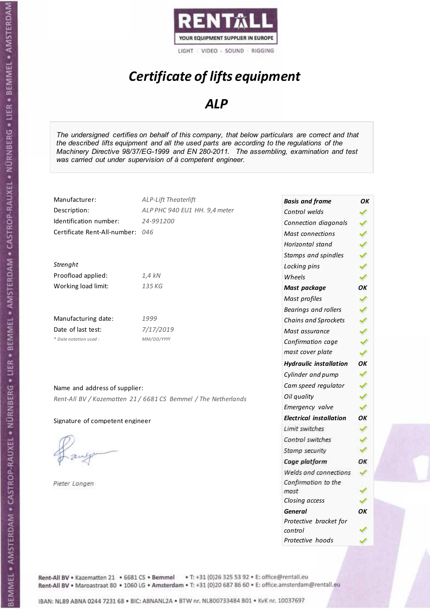

# *Certificate of lifts equipment*

### *ALP*

*The undersigned certifies on behalf of this company, that below particulars are correct and that the described lifts equipment and all the used parts are according to the regulations of the Machinery Directive 98/37/EG-1999 and EN 280-2011. The assembling, examination and test was carried out under supervision of à competent engineer.* 

| Manufacturer:                    | <b>ALP-Lift Theaterlift</b>                                    | <b>Basis and frame</b>         | OK |
|----------------------------------|----------------------------------------------------------------|--------------------------------|----|
| Description:                     | ALP PHC 940 EU1 HH. 9,4 meter                                  | Control welds                  |    |
| Identification number:           | 24-991200                                                      | Connection diagonals           | ✔  |
| Certificate Rent-All-number: 046 |                                                                | <b>Mast connections</b>        |    |
|                                  |                                                                | Horizontal stand               |    |
|                                  |                                                                | Stamps and spindles            |    |
| Strenght                         |                                                                | Locking pins                   |    |
| Proofload applied:               | 1,4 kN                                                         | Wheels                         | ✓  |
| Working load limit:              | 135 KG                                                         | Mast package                   | ОK |
|                                  |                                                                | Mast profiles                  | ✔  |
|                                  |                                                                | Bearings and rollers           |    |
| Manufacturing date:              | 1999                                                           | Chains and Sprockets           |    |
| Date of last test:               | 7/17/2019                                                      | Mast assurance                 |    |
| * Date notation used :           | MM/DD/YYYY                                                     | Confirmation cage              |    |
|                                  |                                                                | mast cover plate               | Â  |
|                                  |                                                                | <b>Hydraulic installation</b>  | ОK |
|                                  |                                                                | Cylinder and pump              | ✔  |
| Name and address of supplier:    |                                                                | Cam speed regulator            |    |
|                                  | Rent-All BV / Kazematten 21 / 6681 CS Bemmel / The Netherlands | Oil quality                    |    |
|                                  |                                                                | Emergency valve                |    |
| Signature of competent engineer  |                                                                | <b>Electrical installation</b> | OK |
|                                  |                                                                | Limit switches                 |    |
|                                  |                                                                | Control switches               |    |
|                                  |                                                                | Stamp security                 |    |
|                                  |                                                                | Cage platform                  | OK |
|                                  |                                                                | Welds and connections          |    |
| Pieter Langen                    |                                                                | Confirmation to the            |    |
|                                  |                                                                | mast                           |    |
|                                  |                                                                | Closing access                 |    |

*General OK Protective bracket for* 

*control* 

*Protective hoods*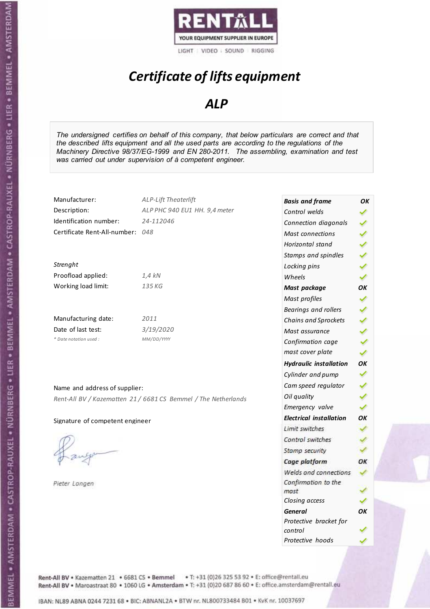

# *Certificate of lifts equipment*

### *ALP*

*The undersigned certifies on behalf of this company, that below particulars are correct and that the described lifts equipment and all the used parts are according to the regulations of the Machinery Directive 98/37/EG-1999 and EN 280-2011. The assembling, examination and test was carried out under supervision of à competent engineer.* 

| Manufacturer:                    | <b>ALP-Lift Theaterlift</b>                                    | <b>Basis and frame</b>         | OK |
|----------------------------------|----------------------------------------------------------------|--------------------------------|----|
| Description:                     | ALP PHC 940 EU1 HH. 9,4 meter                                  | Control welds                  |    |
| Identification number:           | 24-112046                                                      | Connection diagonals           |    |
| Certificate Rent-All-number: 048 |                                                                | <b>Mast connections</b>        |    |
|                                  |                                                                | Horizontal stand               |    |
|                                  |                                                                | Stamps and spindles            |    |
| Strenght                         |                                                                | Locking pins                   |    |
| Proofload applied:               | $1,4$ kN                                                       | Wheels                         |    |
| Working load limit:              | 135 KG                                                         | Mast package                   | OK |
|                                  |                                                                | Mast profiles                  |    |
|                                  |                                                                | Bearings and rollers           |    |
| Manufacturing date:              | 2011                                                           | Chains and Sprockets           |    |
| Date of last test:               | 3/19/2020                                                      | Mast assurance                 |    |
| * Date notation used :           | MM/DD/YYYY                                                     | Confirmation cage              |    |
|                                  |                                                                | mast cover plate               | ✔  |
|                                  |                                                                | <b>Hydraulic installation</b>  | OK |
|                                  |                                                                | Cylinder and pump              |    |
| Name and address of supplier:    |                                                                | Cam speed regulator            |    |
|                                  | Rent-All BV / Kazematten 21 / 6681 CS Bemmel / The Netherlands | Oil quality                    |    |
|                                  |                                                                | Emergency valve                |    |
| Signature of competent engineer  |                                                                | <b>Electrical installation</b> | OK |
|                                  |                                                                | Limit switches                 |    |
|                                  |                                                                | Control switches               |    |
|                                  |                                                                | Stamp security                 |    |
|                                  |                                                                | Cage platform                  | OK |
|                                  |                                                                | Welds and connections          |    |
| Pieter Langen                    |                                                                | Confirmation to the<br>mast    |    |

*Pieter Langen* 

*Closing access* 

*control* 

*General OK Protective bracket for*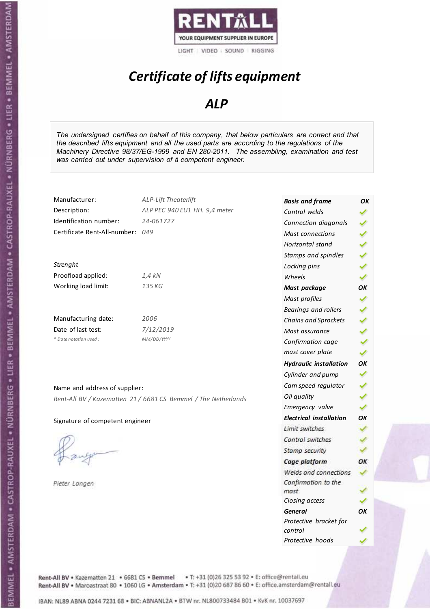

# *Certificate of lifts equipment*

### *ALP*

*The undersigned certifies on behalf of this company, that below particulars are correct and that the described lifts equipment and all the used parts are according to the regulations of the Machinery Directive 98/37/EG-1999 and EN 280-2011. The assembling, examination and test was carried out under supervision of à competent engineer.* 

| Manufacturer:                   | <b>ALP-Lift Theaterlift</b>                                    | <b>Basis and frame</b>         | OK |
|---------------------------------|----------------------------------------------------------------|--------------------------------|----|
| Description:                    | ALP PEC 940 EU1 HH. 9,4 meter                                  | Control welds                  |    |
| Identification number:          | 24-061727                                                      | Connection diagonals           |    |
| Certificate Rent-All-number:    | 049                                                            | <b>Mast connections</b>        |    |
|                                 |                                                                | Horizontal stand               |    |
|                                 |                                                                | Stamps and spindles            |    |
| Strenght                        |                                                                | Locking pins                   |    |
| Proofload applied:              | $1,4$ kN                                                       | Wheels                         |    |
| Working load limit:             | 135 KG                                                         | Mast package                   | OK |
|                                 |                                                                | Mast profiles                  |    |
|                                 |                                                                | <b>Bearings and rollers</b>    |    |
| Manufacturing date:             | 2006                                                           | Chains and Sprockets           |    |
| Date of last test:              | 7/12/2019                                                      | Mast assurance                 |    |
| * Date notation used :          | MM/DD/YYYY                                                     | Confirmation cage              |    |
|                                 |                                                                | mast cover plate               |    |
|                                 |                                                                | <b>Hydraulic installation</b>  | ОК |
|                                 |                                                                | Cylinder and pump              |    |
| Name and address of supplier:   |                                                                | Cam speed regulator            |    |
|                                 | Rent-All BV / Kazematten 21 / 6681 CS Bemmel / The Netherlands | Oil quality                    |    |
|                                 |                                                                | Emergency valve                |    |
| Signature of competent engineer |                                                                | <b>Electrical installation</b> | ОК |
|                                 |                                                                | Limit switches                 |    |
|                                 |                                                                | Control switches               |    |
|                                 |                                                                | Stamp security                 |    |
|                                 |                                                                | Cage platform                  | OK |
|                                 |                                                                | Welds and connections          |    |
| Pieter Langen                   |                                                                | Confirmation to the            |    |
|                                 |                                                                | mast                           |    |
|                                 |                                                                | Closing access                 |    |

*General OK Protective bracket for* 

*control* 

*Protective hoods*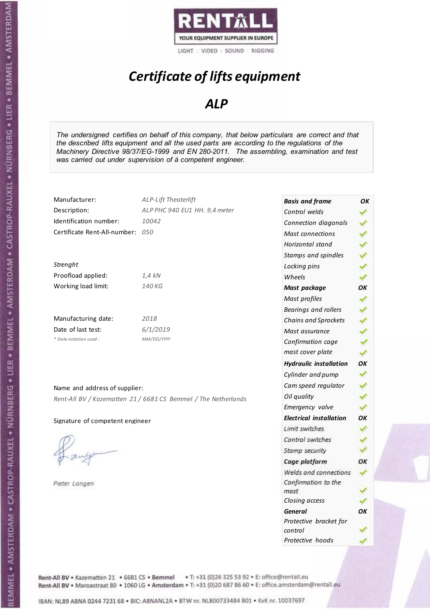

# *Certificate of lifts equipment*

### *ALP*

*The undersigned certifies on behalf of this company, that below particulars are correct and that the described lifts equipment and all the used parts are according to the regulations of the Machinery Directive 98/37/EG-1999 and EN 280-2011. The assembling, examination and test was carried out under supervision of à competent engineer.* 

| Manufacturer:                    | ALP-Lift Theaterlift                                           | <b>Basis and frame</b>         | ΟK |
|----------------------------------|----------------------------------------------------------------|--------------------------------|----|
| Description:                     | ALP PHC 940 EU1 HH. 9,4 meter                                  | Control welds                  |    |
| Identification number:           | 10042                                                          | Connection diagonals           |    |
| Certificate Rent-All-number: 050 |                                                                | <b>Mast connections</b>        | ✔  |
|                                  |                                                                | Horizontal stand               |    |
|                                  |                                                                | Stamps and spindles            |    |
| Strenght                         |                                                                | Locking pins                   |    |
| Proofload applied:               | $1,4$ kN                                                       | Wheels                         | ✓  |
| Working load limit:              | 140 KG                                                         | Mast package                   | OK |
|                                  |                                                                | Mast profiles                  | ✔  |
|                                  |                                                                | Bearings and rollers           |    |
| Manufacturing date:              | 2018                                                           | Chains and Sprockets           |    |
| Date of last test:               | 6/1/2019                                                       | Mast assurance                 | ✔  |
| * Date notation used:            | MM/DD/YYYY                                                     | Confirmation cage              |    |
|                                  |                                                                | mast cover plate               | ✔  |
|                                  |                                                                | <b>Hydraulic installation</b>  | OK |
|                                  |                                                                | Cylinder and pump              |    |
| Name and address of supplier:    |                                                                | Cam speed regulator            |    |
|                                  | Rent-All BV / Kazematten 21 / 6681 CS Bemmel / The Netherlands | Oil quality                    |    |
|                                  |                                                                | Emergency valve                | ✓  |
| Signature of competent engineer  |                                                                | <b>Electrical installation</b> | ОК |
|                                  |                                                                | Limit switches                 |    |
|                                  |                                                                | Control switches               |    |
|                                  |                                                                | Stamp security                 |    |
|                                  |                                                                | Cage platform                  | OK |
|                                  |                                                                | Welds and connections          |    |
| Pieter Langen                    |                                                                | Confirmation to the            |    |
|                                  |                                                                | mast                           |    |
|                                  |                                                                | Closing access                 |    |
|                                  |                                                                | <b>General</b>                 | OK |
|                                  |                                                                | Protective bracket for         |    |
|                                  |                                                                | control                        |    |

*Protective hoods*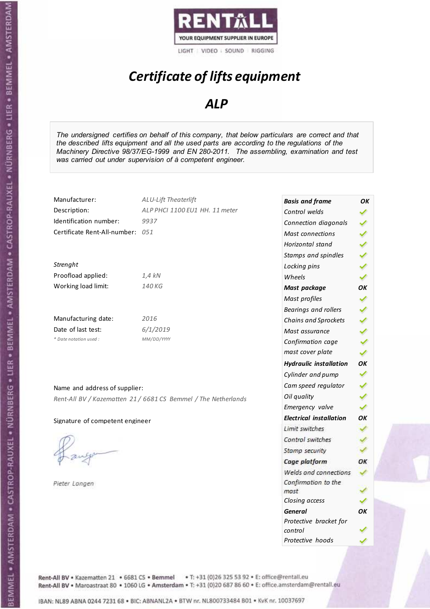

# *Certificate of lifts equipment*

### *ALP*

*The undersigned certifies on behalf of this company, that below particulars are correct and that the described lifts equipment and all the used parts are according to the regulations of the Machinery Directive 98/37/EG-1999 and EN 280-2011. The assembling, examination and test was carried out under supervision of à competent engineer.* 

| Manufacturer:                    | ALU-Lift Theaterlift                                           | <b>Basis and frame</b>            | ΟK |
|----------------------------------|----------------------------------------------------------------|-----------------------------------|----|
| Description:                     | ALP PHCI 1100 EU1 HH. 11 meter                                 | Control welds                     |    |
| Identification number:           | 9937                                                           | Connection diagonals              |    |
| Certificate Rent-All-number: 051 |                                                                | Mast connections                  |    |
|                                  |                                                                | Horizontal stand                  | ∢  |
|                                  |                                                                | Stamps and spindles               |    |
| Strenght                         |                                                                | Locking pins                      |    |
| Proofload applied:               | $1,4$ kN                                                       | Wheels                            | ✔  |
| Working load limit:              | 140 KG                                                         | Mast package                      | OK |
|                                  |                                                                | Mast profiles                     | ✓  |
|                                  |                                                                | Bearings and rollers              |    |
| Manufacturing date:              | 2016                                                           | Chains and Sprockets              |    |
| Date of last test:               | 6/1/2019                                                       | Mast assurance                    |    |
| * Date notation used:            | MM/DD/YYYY                                                     | Confirmation cage                 |    |
|                                  |                                                                | mast cover plate                  | ✔  |
|                                  |                                                                | <b>Hydraulic installation</b>     | OK |
|                                  |                                                                | Cylinder and pump                 | ✓  |
| Name and address of supplier:    |                                                                | Cam speed regulator               |    |
|                                  | Rent-All BV / Kazematten 21 / 6681 CS Bemmel / The Netherlands | Oil quality                       |    |
|                                  |                                                                | Emergency valve                   | ✓  |
| Signature of competent engineer  |                                                                | <b>Electrical installation</b>    | OK |
|                                  |                                                                | Limit switches                    |    |
|                                  |                                                                | Control switches                  |    |
|                                  |                                                                | Stamp security                    |    |
|                                  |                                                                | Cage platform                     | OK |
|                                  |                                                                | Welds and connections             |    |
| Pieter Langen                    |                                                                | Confirmation to the<br>mast       |    |
|                                  |                                                                | Closing access                    |    |
|                                  |                                                                | <b>General</b>                    | OK |
|                                  |                                                                | Protective bracket for<br>control |    |

*Protective hoods*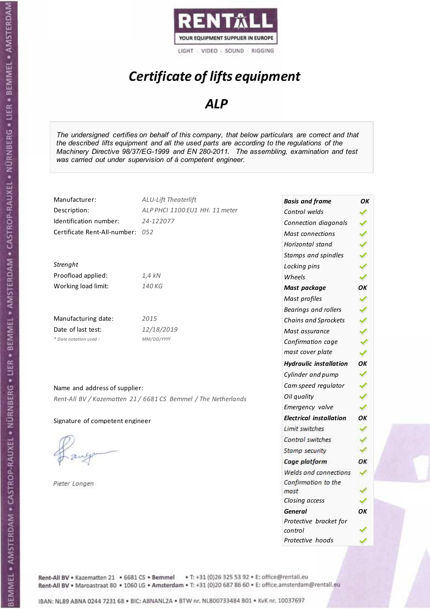

# *Certificate of lifts equipment*

### *ALP*

*The undersigned certifies on behalf of this company, that below particulars are correct and that the described lifts equipment and all the used parts are according to the regulations of the Machinery Directive 98/37/EG-1999 and EN 280-2011. The assembling, examination and test was carried out under supervision of à competent engineer.* 

| Manufacturer:                    | ALU-Lift Theaterlift                                           | <b>Basis and frame</b>         | OK |
|----------------------------------|----------------------------------------------------------------|--------------------------------|----|
| Description:                     | ALP PHCI 1100 EU1 HH. 11 meter                                 | Control welds                  |    |
| Identification number:           | 24-122077                                                      | Connection diagonals           |    |
| Certificate Rent-All-number: 052 |                                                                | <b>Mast connections</b>        |    |
|                                  |                                                                | Horizontal stand               |    |
|                                  |                                                                | Stamps and spindles            |    |
| Strenght                         |                                                                | Locking pins                   |    |
| Proofload applied:               | $1,4$ kN                                                       | Wheels                         |    |
| Working load limit:              | 140 KG                                                         | Mast package                   | OK |
|                                  |                                                                | Mast profiles                  |    |
|                                  |                                                                | Bearings and rollers           |    |
| Manufacturing date:              | 2015                                                           | Chains and Sprockets           |    |
| Date of last test:               | 12/18/2019                                                     | Mast assurance                 |    |
| * Date notation used:            | MM/DD/YYYY                                                     | Confirmation cage              |    |
|                                  |                                                                | mast cover plate               |    |
|                                  |                                                                | <b>Hydraulic installation</b>  | OK |
|                                  |                                                                | Cylinder and pump              |    |
| Name and address of supplier:    |                                                                | Cam speed regulator            |    |
|                                  | Rent-All BV / Kazematten 21 / 6681 CS Bemmel / The Netherlands | Oil quality                    |    |
|                                  |                                                                | Emergency valve                |    |
| Signature of competent engineer  |                                                                | <b>Electrical installation</b> | OK |
|                                  |                                                                | Limit switches                 |    |
|                                  |                                                                | Control switches               |    |
|                                  |                                                                | Stamp security                 |    |
|                                  |                                                                | Cage platform                  | ОК |
|                                  |                                                                | Welds and connections          |    |
| Pieter Langen                    |                                                                | Confirmation to the            |    |
|                                  |                                                                | mast                           |    |
|                                  |                                                                | Closing access                 |    |

*General OK Protective bracket for* 

*control* 

*Protective hoods*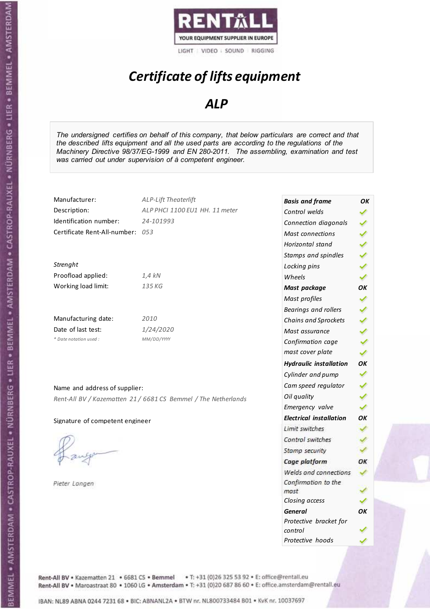

# *Certificate of lifts equipment*

### *ALP*

*The undersigned certifies on behalf of this company, that below particulars are correct and that the described lifts equipment and all the used parts are according to the regulations of the Machinery Directive 98/37/EG-1999 and EN 280-2011. The assembling, examination and test was carried out under supervision of à competent engineer.* 

| Manufacturer:                                                  | <b>ALP-Lift Theaterlift</b>    | <b>Basis and frame</b>         | OK |
|----------------------------------------------------------------|--------------------------------|--------------------------------|----|
| Description:                                                   | ALP PHCI 1100 EU1 HH. 11 meter | Control welds                  |    |
| Identification number:                                         | 24-101993                      | Connection diagonals           |    |
| Certificate Rent-All-number: 053                               |                                | <b>Mast connections</b>        |    |
|                                                                |                                | Horizontal stand               |    |
|                                                                |                                | Stamps and spindles            |    |
| Strenght                                                       |                                | Locking pins                   |    |
| Proofload applied:                                             | 1,4 kN                         | Wheels                         |    |
| Working load limit:                                            | 135 KG                         | Mast package                   | OK |
|                                                                |                                | Mast profiles                  |    |
|                                                                |                                | Bearings and rollers           |    |
| Manufacturing date:                                            | 2010                           | Chains and Sprockets           |    |
| Date of last test:                                             | 1/24/2020                      | Mast assurance                 |    |
| * Date notation used:                                          | MM/DD/YYYY                     | Confirmation cage              |    |
|                                                                |                                | mast cover plate               |    |
|                                                                |                                | <b>Hydraulic installation</b>  | OK |
|                                                                |                                | Cylinder and pump              |    |
| Name and address of supplier:                                  |                                | Cam speed regulator            |    |
| Rent-All BV / Kazematten 21 / 6681 CS Bemmel / The Netherlands |                                | Oil quality                    |    |
|                                                                |                                | Emergency valve                |    |
| Signature of competent engineer                                |                                | <b>Electrical installation</b> | OK |
|                                                                |                                | Limit switches                 |    |
|                                                                |                                | Control switches               |    |
|                                                                |                                | Stamp security                 |    |
|                                                                |                                | Cage platform                  | OK |
|                                                                |                                | Welds and connections          |    |
| Pieter Langen                                                  |                                | Confirmation to the            |    |
|                                                                |                                | mast                           |    |
|                                                                |                                | Closing access                 |    |

*General OK Protective bracket for* 

*control* 

*Protective hoods*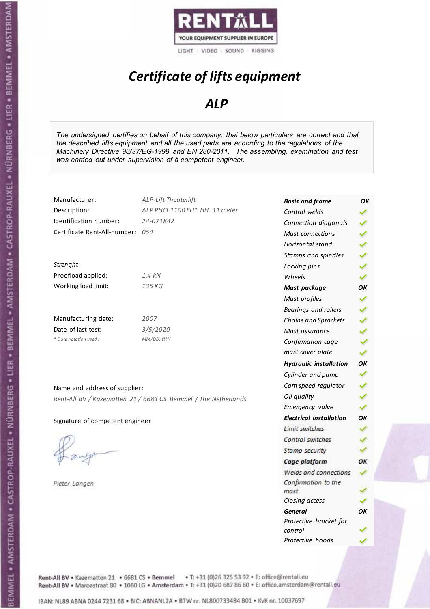

# *Certificate of lifts equipment*

### *ALP*

*The undersigned certifies on behalf of this company, that below particulars are correct and that the described lifts equipment and all the used parts are according to the regulations of the Machinery Directive 98/37/EG-1999 and EN 280-2011. The assembling, examination and test was carried out under supervision of à competent engineer.* 

| Manufacturer:                    | <b>ALP-Lift Theaterlift</b>                                    | <b>Basis and frame</b>         | OK |
|----------------------------------|----------------------------------------------------------------|--------------------------------|----|
| Description:                     | ALP PHCI 1100 EU1 HH. 11 meter                                 | Control welds                  |    |
| Identification number:           | 24-071842                                                      | Connection diagonals           |    |
| Certificate Rent-All-number: 054 |                                                                | <b>Mast connections</b>        |    |
|                                  |                                                                | Horizontal stand               |    |
|                                  |                                                                | Stamps and spindles            |    |
| Strenght                         |                                                                | Locking pins                   |    |
| Proofload applied:               | $1,4$ kN                                                       | Wheels                         |    |
| Working load limit:              | 135 KG                                                         | Mast package                   | OK |
|                                  |                                                                | Mast profiles                  | ✓  |
|                                  |                                                                | Bearings and rollers           |    |
| Manufacturing date:              | 2007                                                           | <b>Chains and Sprockets</b>    |    |
| Date of last test:               | 3/5/2020                                                       | Mast assurance                 |    |
| * Date notation used :           | MM/DD/YYYY                                                     | Confirmation cage              |    |
|                                  |                                                                | mast cover plate               |    |
|                                  |                                                                | <b>Hydraulic installation</b>  | OK |
|                                  |                                                                | Cylinder and pump              |    |
| Name and address of supplier:    |                                                                | Cam speed regulator            |    |
|                                  | Rent-All BV / Kazematten 21 / 6681 CS Bemmel / The Netherlands | Oil quality                    |    |
|                                  |                                                                | Emergency valve                |    |
| Signature of competent engineer  |                                                                | <b>Electrical installation</b> | OK |
|                                  |                                                                | Limit switches                 |    |
|                                  |                                                                | Control switches               |    |
|                                  |                                                                | Stamp security                 |    |
|                                  |                                                                | Cage platform                  | OK |
|                                  |                                                                | Welds and connections          |    |
| Pieter Langen                    |                                                                | Confirmation to the            |    |
|                                  |                                                                | mast                           |    |
|                                  |                                                                | Closing access                 |    |

*General OK Protective bracket for* 

*control* 

*Protective hoods*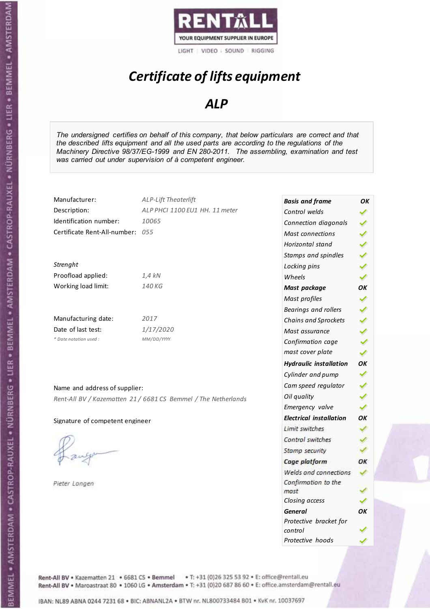

# *Certificate of lifts equipment*

### *ALP*

*The undersigned certifies on behalf of this company, that below particulars are correct and that the described lifts equipment and all the used parts are according to the regulations of the Machinery Directive 98/37/EG-1999 and EN 280-2011. The assembling, examination and test was carried out under supervision of à competent engineer.* 

| ✔                                                                                         |
|-------------------------------------------------------------------------------------------|
| ОΚ                                                                                        |
|                                                                                           |
|                                                                                           |
| ✔                                                                                         |
|                                                                                           |
|                                                                                           |
| ✔                                                                                         |
| ОК                                                                                        |
| ✓                                                                                         |
| ✔                                                                                         |
| ✓                                                                                         |
| ✓                                                                                         |
| ΟК                                                                                        |
|                                                                                           |
|                                                                                           |
|                                                                                           |
| OK                                                                                        |
| Welds and connections<br>✓                                                                |
|                                                                                           |
|                                                                                           |
|                                                                                           |
| OΚ                                                                                        |
|                                                                                           |
|                                                                                           |
| <b>Hydraulic installation</b><br><b>Electrical installation</b><br>Protective bracket for |

Rent-All BV . Kazematten 21 . 6681 CS . Bemmel . T: +31 (0)26 325 53 92 . E: office@rentall.eu Rent-All BV · Maroastraat 80 · 1060 LG · Amsterdam · T: +31 (0)20 687 86 60 · E: office.amsterdam@rentall.eu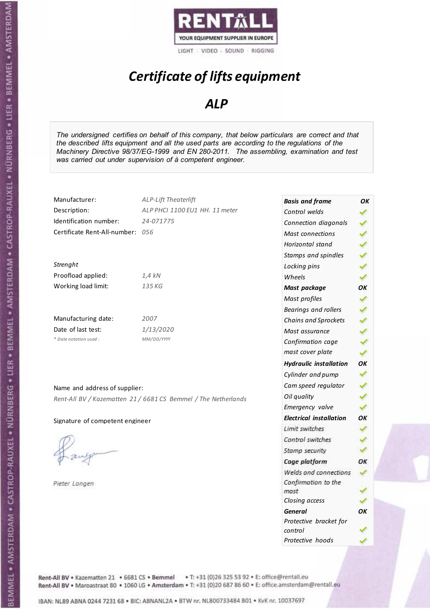

# *Certificate of lifts equipment*

### *ALP*

*The undersigned certifies on behalf of this company, that below particulars are correct and that the described lifts equipment and all the used parts are according to the regulations of the Machinery Directive 98/37/EG-1999 and EN 280-2011. The assembling, examination and test was carried out under supervision of à competent engineer.* 

| Manufacturer:                    | <b>ALP-Lift Theaterlift</b>                                    | <b>Basis and frame</b>         | OK |
|----------------------------------|----------------------------------------------------------------|--------------------------------|----|
| Description:                     | ALP PHCI 1100 EU1 HH. 11 meter                                 | Control welds                  |    |
| Identification number:           | 24-071775                                                      | Connection diagonals           |    |
| Certificate Rent-All-number: 056 |                                                                | <b>Mast connections</b>        |    |
|                                  |                                                                | Horizontal stand               |    |
|                                  |                                                                | Stamps and spindles            |    |
| Strenght                         |                                                                | Locking pins                   |    |
| Proofload applied:               | 1,4 kN                                                         | Wheels                         |    |
| Working load limit:              | 135 KG                                                         | Mast package                   | OK |
|                                  |                                                                | Mast profiles                  |    |
|                                  |                                                                | Bearings and rollers           |    |
| Manufacturing date:              | 2007                                                           | Chains and Sprockets           |    |
| Date of last test:               | 1/13/2020                                                      | Mast assurance                 |    |
| * Date notation used :           | MM/DD/YYYY                                                     | Confirmation cage              |    |
|                                  |                                                                | mast cover plate               |    |
|                                  |                                                                | <b>Hydraulic installation</b>  | ОK |
|                                  |                                                                | Cylinder and pump              |    |
| Name and address of supplier:    |                                                                | Cam speed regulator            |    |
|                                  | Rent-All BV / Kazematten 21 / 6681 CS Bemmel / The Netherlands | Oil quality                    |    |
|                                  |                                                                | Emergency valve                |    |
| Signature of competent engineer  |                                                                | <b>Electrical installation</b> | ОK |
|                                  |                                                                | Limit switches                 |    |
|                                  |                                                                | Control switches               |    |
|                                  |                                                                | Stamp security                 |    |
|                                  |                                                                | Cage platform                  | ОК |
|                                  |                                                                | Welds and connections          |    |
| Pieter Langen                    |                                                                | Confirmation to the            |    |
|                                  |                                                                | mast                           |    |
|                                  |                                                                | Closing access                 |    |
|                                  |                                                                | <b>General</b>                 | ОΚ |

*Protective bracket for* 

*Protective hoods* 

*control*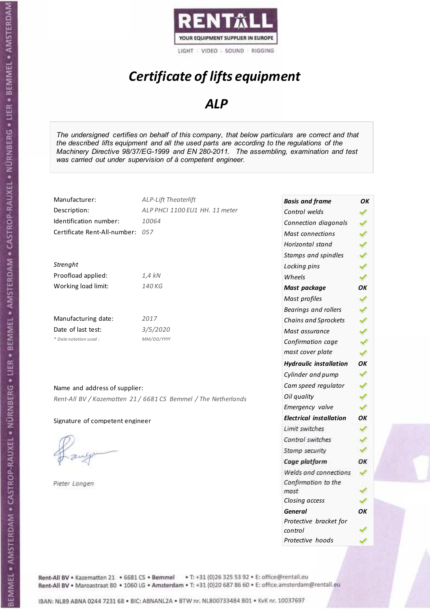

# *Certificate of lifts equipment*

### *ALP*

*The undersigned certifies on behalf of this company, that below particulars are correct and that the described lifts equipment and all the used parts are according to the regulations of the Machinery Directive 98/37/EG-1999 and EN 280-2011. The assembling, examination and test was carried out under supervision of à competent engineer.* 

| Manufacturer:                    | ALP-Lift Theaterlift                                           | <b>Basis and frame</b>            | OK |
|----------------------------------|----------------------------------------------------------------|-----------------------------------|----|
| Description:                     | ALP PHCI 1100 EU1 HH. 11 meter                                 | Control welds                     |    |
| Identification number:           | 10064                                                          | Connection diagonals              |    |
| Certificate Rent-All-number: 057 |                                                                | Mast connections                  | ✔  |
|                                  |                                                                | Horizontal stand                  | ✔  |
|                                  |                                                                | Stamps and spindles               |    |
| Strenght                         |                                                                | Locking pins                      | ✔  |
| Proofload applied:               | $1,4$ kN                                                       | Wheels                            | ✓  |
| Working load limit:              | 140 KG                                                         | Mast package                      | OK |
|                                  |                                                                | Mast profiles                     | ✔  |
|                                  |                                                                | Bearings and rollers              |    |
| Manufacturing date:              | 2017                                                           | Chains and Sprockets              | ✔  |
| Date of last test:               | 3/5/2020                                                       | Mast assurance                    | ✔  |
| * Date notation used :           | MM/DD/YYYY                                                     | Confirmation cage                 | ✔  |
|                                  |                                                                | mast cover plate                  | ✔  |
|                                  |                                                                | <b>Hydraulic installation</b>     | OK |
|                                  |                                                                | Cylinder and pump                 |    |
| Name and address of supplier:    |                                                                | Cam speed regulator               |    |
|                                  | Rent-All BV / Kazematten 21 / 6681 CS Bemmel / The Netherlands | Oil quality                       |    |
|                                  |                                                                | Emergency valve                   | ✔  |
| Signature of competent engineer  |                                                                | <b>Electrical installation</b>    | OК |
|                                  |                                                                | Limit switches                    |    |
|                                  |                                                                | Control switches                  |    |
|                                  |                                                                | Stamp security                    |    |
|                                  |                                                                | Cage platform                     | OK |
|                                  |                                                                | Welds and connections             | ✓  |
| Pieter Langen                    |                                                                | Confirmation to the               |    |
|                                  |                                                                | mast                              |    |
|                                  |                                                                | Closing access                    |    |
|                                  |                                                                | <b>General</b>                    | OK |
|                                  |                                                                | Protective bracket for<br>control |    |

*Protective hoods*